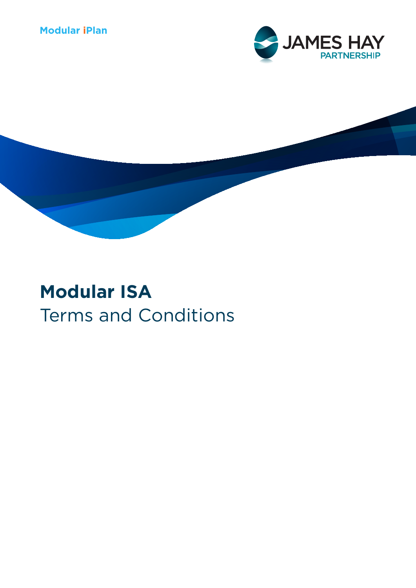# **Modular iPlan**





# **Modular ISA** Terms and Conditions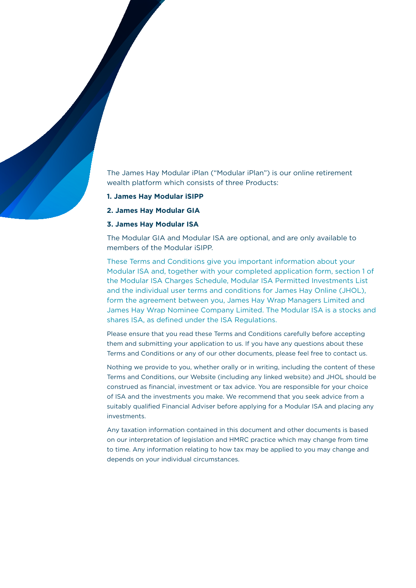The James Hay Modular iPlan ("Modular iPlan") is our online retirement wealth platform which consists of three Products:

- **1. James Hay Modular iSIPP**
- **2. James Hay Modular GIA**

# **3. James Hay Modular ISA**

The Modular GIA and Modular ISA are optional, and are only available to members of the Modular iSIPP.

These Terms and Conditions give you important information about your Modular ISA and, together with your completed application form, section 1 of the Modular ISA Charges Schedule, Modular ISA Permitted Investments List and the individual user terms and conditions for James Hay Online (JHOL), form the agreement between you, James Hay Wrap Managers Limited and James Hay Wrap Nominee Company Limited. The Modular ISA is a stocks and shares ISA, as defined under the ISA Regulations.

Please ensure that you read these Terms and Conditions carefully before accepting them and submitting your application to us. If you have any questions about these Terms and Conditions or any of our other documents, please feel free to contact us.

Nothing we provide to you, whether orally or in writing, including the content of these Terms and Conditions, our Website (including any linked website) and JHOL should be construed as financial, investment or tax advice. You are responsible for your choice of ISA and the investments you make. We recommend that you seek advice from a suitably qualified Financial Adviser before applying for a Modular ISA and placing any investments.

Any taxation information contained in this document and other documents is based on our interpretation of legislation and HMRC practice which may change from time to time. Any information relating to how tax may be applied to you may change and depends on your individual circumstances.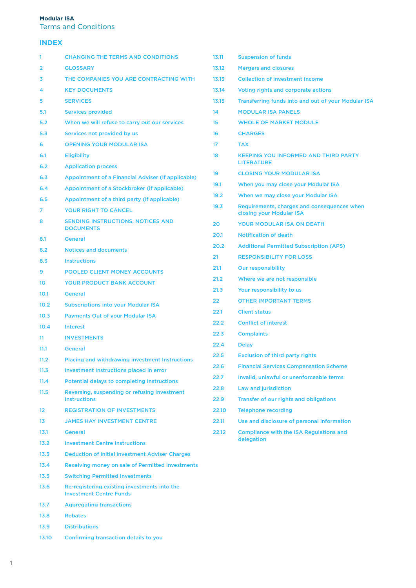# **Modular ISA**

Terms and Conditions

# **INDEX**

| 1     | <b>CHANGING THE TERMS AND CONDITIONS</b>                                       |  |
|-------|--------------------------------------------------------------------------------|--|
| 2     | <b>GLOSSARY</b>                                                                |  |
| 3     | THE COMPANIES YOU ARE CONTRACTING WITH                                         |  |
| 4     | <b>KEY DOCUMENTS</b>                                                           |  |
| 5     | <b>SERVICES</b>                                                                |  |
| 5.1   | <b>Services provided</b>                                                       |  |
| 5.2   | When we will refuse to carry out our services                                  |  |
| 5.3   | Services not provided by us                                                    |  |
| 6     | <b>OPENING YOUR MODULAR ISA</b>                                                |  |
| 6.1   | <b>Eligibility</b>                                                             |  |
| 6.2   | <b>Application process</b>                                                     |  |
| 6.3   | Appointment of a Financial Adviser (if applicable)                             |  |
| 6.4   | Appointment of a Stockbroker (if applicable)                                   |  |
| 6.5   | Appointment of a third party (if applicable)                                   |  |
| 7     | <b>YOUR RIGHT TO CANCEL</b>                                                    |  |
| 8     | <b>SENDING INSTRUCTIONS, NOTICES AND</b><br><b>DOCUMENTS</b>                   |  |
| 8.1   | <b>General</b>                                                                 |  |
| 8.2   | <b>Notices and documents</b>                                                   |  |
| 8.3   | <b>Instructions</b>                                                            |  |
| 9     | <b>POOLED CLIENT MONEY ACCOUNTS</b>                                            |  |
| 10    | <b>YOUR PRODUCT BANK ACCOUNT</b>                                               |  |
| 10.1  | <b>General</b>                                                                 |  |
| 10.2  | <b>Subscriptions into your Modular ISA</b>                                     |  |
| 10.3  | <b>Payments Out of your Modular ISA</b>                                        |  |
| 10.4  | <b>Interest</b>                                                                |  |
| 11    | <b>INVESTMENTS</b>                                                             |  |
| 11.1  | <b>General</b>                                                                 |  |
| 11.2  | Placing and withdrawing investment Instructions                                |  |
| 11.3  | <b>Investment Instructions placed in error</b>                                 |  |
| 11.4  | <b>Potential delays to completing Instructions</b>                             |  |
| 11.5  | Reversing, suspending or refusing investment<br><b>Instructions</b>            |  |
| 12    | <b>REGISTRATION OF INVESTMENTS</b>                                             |  |
| 13    | <b>JAMES HAY INVESTMENT CENTRE</b>                                             |  |
| 13.1  | <b>General</b>                                                                 |  |
| 13.2  | <b>Investment Centre Instructions</b>                                          |  |
| 13.3  | <b>Deduction of initial investment Adviser Charges</b>                         |  |
| 13.4  | Receiving money on sale of Permitted Investments                               |  |
| 13.5  | <b>Switching Permitted Investments</b>                                         |  |
| 13.6  | Re-registering existing investments into the<br><b>Investment Centre Funds</b> |  |
| 13.7  | <b>Aggregating transactions</b>                                                |  |
| 13.8  | <b>Rebates</b>                                                                 |  |
| 13.9  | <b>Distributions</b>                                                           |  |
| 13.10 | <b>Confirming transaction details to you</b>                                   |  |

| 13.11 | <b>Suspension of funds</b>                                              |  |  |
|-------|-------------------------------------------------------------------------|--|--|
| 13.12 | <b>Mergers and closures</b>                                             |  |  |
| 13.13 | <b>Collection of investment income</b>                                  |  |  |
| 13.14 | Voting rights and corporate actions                                     |  |  |
| 13.15 | <b>Transferring funds into and out of your Modular ISA</b>              |  |  |
| 14    | <b>MODULAR ISA PANELS</b>                                               |  |  |
| 15    | <b>WHOLE OF MARKET MODULE</b>                                           |  |  |
| 16    | <b>CHARGES</b>                                                          |  |  |
| 17    | <b>TAX</b>                                                              |  |  |
| 18    | <b>KEEPING YOU INFORMED AND THIRD PARTY</b><br><b>LITERATURE</b>        |  |  |
| 19    | <b>CLOSING YOUR MODULAR ISA</b>                                         |  |  |
| 19.1  | When you may close your Modular ISA                                     |  |  |
| 19.2  | When we may close your Modular ISA                                      |  |  |
| 19.3  | Requirements, charges and consequences when<br>closing your Modular ISA |  |  |
| 20    | <b>YOUR MODULAR ISA ON DEATH</b>                                        |  |  |
| 20.1  | <b>Notification of death</b>                                            |  |  |
| 20.2  | <b>Additional Permitted Subscription (APS)</b>                          |  |  |
| 21    | <b>RESPONSIBILITY FOR LOSS</b>                                          |  |  |
| 21.1  | <b>Our responsibility</b>                                               |  |  |
| 21.2  | Where we are not responsible                                            |  |  |
| 21.3  | Your responsibility to us                                               |  |  |
| 22    | <b>OTHER IMPORTANT TERMS</b>                                            |  |  |
| 22.1  | <b>Client status</b>                                                    |  |  |
| 22.2  | <b>Conflict of interest</b>                                             |  |  |
| 22.3  | <b>Complaints</b>                                                       |  |  |
| 22.4  | <b>Delay</b>                                                            |  |  |
| 22.5  | <b>Exclusion of third party rights</b>                                  |  |  |
| 22.6  | <b>Financial Services Compensation Scheme</b>                           |  |  |
| 22.7  | Invalid, unlawful or unenforceable terms                                |  |  |
| 22.8  | <b>Law and jurisdiction</b>                                             |  |  |
| 22.9  | Transfer of our rights and obligations                                  |  |  |
| 22.10 | <b>Telephone recording</b>                                              |  |  |
| 22.11 | Use and disclosure of personal information                              |  |  |
| 22.12 | <b>Compliance with the ISA Regulations and</b><br>delegation            |  |  |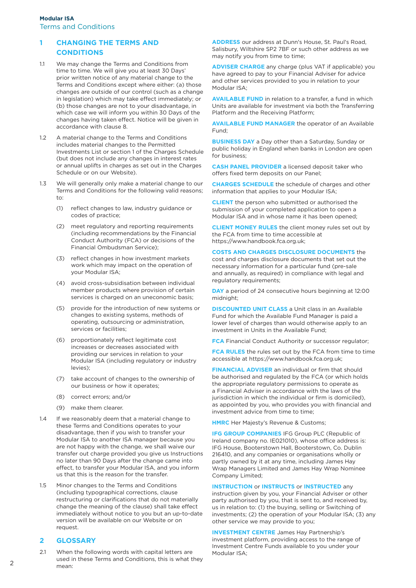# **1 CHANGING THE TERMS AND CONDITIONS**

- 1.1 We may change the Terms and Conditions from time to time. We will give you at least 30 Days' prior written notice of any material change to the Terms and Conditions except where either: (a) those changes are outside of our control (such as a change in legislation) which may take effect immediately; or (b) those changes are not to your disadvantage, in which case we will inform you within 30 Days of the changes having taken effect. Notice will be given in accordance with clause 8.
- 1.2 A material change to the Terms and Conditions includes material changes to the Permitted Investments List or section 1 of the Charges Schedule (but does not include any changes in interest rates or annual uplifts in charges as set out in the Charges Schedule or on our Website).
- 1.3 We will generally only make a material change to our Terms and Conditions for the following valid reasons; to:
	- (1) reflect changes to law, industry guidance or codes of practice;
	- (2) meet regulatory and reporting requirements (including recommendations by the Financial Conduct Authority (FCA) or decisions of the Financial Ombudsman Service);
	- (3) reflect changes in how investment markets work which may impact on the operation of your Modular ISA;
	- (4) avoid cross-subsidisation between individual member products where provision of certain services is charged on an uneconomic basis;
	- (5) provide for the introduction of new systems or changes to existing systems, methods of operating, outsourcing or administration, services or facilities;
	- (6) proportionately reflect legitimate cost increases or decreases associated with providing our services in relation to your Modular ISA (including regulatory or industry levies);
	- (7) take account of changes to the ownership of our business or how it operates;
	- (8) correct errors; and/or
	- (9) make them clearer.
- 1.4 If we reasonably deem that a material change to these Terms and Conditions operates to your disadvantage, then if you wish to transfer your Modular ISA to another ISA manager because you are not happy with the change, we shall waive our transfer out charge provided you give us Instructions no later than 90 Days after the change came into effect, to transfer your Modular ISA, and you inform us that this is the reason for the transfer.
- 1.5 Minor changes to the Terms and Conditions (including typographical corrections, clause restructuring or clarifications that do not materially change the meaning of the clause) shall take effect immediately without notice to you but an up-to-date version will be available on our Website or on request.

# **2 GLOSSARY**

2.1 When the following words with capital letters are used in these Terms and Conditions, this is what they mean:

**ADDRESS** our address at Dunn's House, St. Paul's Road, Salisbury, Wiltshire SP2 7BF or such other address as we may notify you from time to time;

**ADVISER CHARGE** any charge (plus VAT if applicable) you have agreed to pay to your Financial Adviser for advice and other services provided to you in relation to your Modular ISA;

**AVAILABLE FUND** in relation to a transfer, a fund in which Units are available for investment via both the Transferring Platform and the Receiving Platform;

**AVAILABLE FUND MANAGER** the operator of an Available Fund;

**BUSINESS DAY** a Day other than a Saturday, Sunday or public holiday in England when banks in London are open for business;

**CASH PANEL PROVIDER** a licensed deposit taker who offers fixed term deposits on our Panel;

**CHARGES SCHEDULE** the schedule of charges and other information that applies to your Modular ISA;

**CLIENT** the person who submitted or authorised the submission of your completed application to open a Modular ISA and in whose name it has been opened;

**CLIENT MONEY RULES** the client money rules set out by the FCA from time to time accessible at https://www.handbook.fca.org.uk;

**COSTS AND CHARGES DISCLOSURE DOCUMENTS** the cost and charges disclosure documents that set out the necessary information for a particular fund (pre-sale and annually, as required) in compliance with legal and regulatory requirements;

**DAY** a period of 24 consecutive hours beginning at 12:00 midnight;

**DISCOUNTED UNIT CLASS** a Unit class in an Available Fund for which the Available Fund Manager is paid a lower level of charges than would otherwise apply to an investment in Units in the Available Fund;

**FCA** Financial Conduct Authority or successor regulator;

**FCA RULES** the rules set out by the FCA from time to time accessible at https://www.handbook.fca.org.uk;

**FINANCIAL ADVISER** an individual or firm that should be authorised and regulated by the FCA (or which holds the appropriate regulatory permissions to operate as a Financial Adviser in accordance with the laws of the jurisdiction in which the individual or firm is domiciled), as appointed by you, who provides you with financial and investment advice from time to time;

**HMRC** Her Majesty's Revenue & Customs;

**IFG GROUP COMPANIES** IFG Group PLC (Republic of Ireland company no. IE021010), whose office address is: IFG House, Booterstown Hall, Booterstown, Co. Dublin 216410, and any companies or organisations wholly or partly owned by it at any time, including James Hay Wrap Managers Limited and James Hay Wrap Nominee Company Limited;

**INSTRUCTION** or **INSTRUCTS** or **INSTRUCTED** any instruction given by you, your Financial Adviser or other party authorised by you, that is sent to, and received by, us in relation to: (1) the buying, selling or Switching of investments; (2) the operation of your Modular ISA; (3) any other service we may provide to you;

**INVESTMENT CENTRE** James Hay Partnership's investment platform, providing access to the range of Investment Centre Funds available to you under your Modular ISA;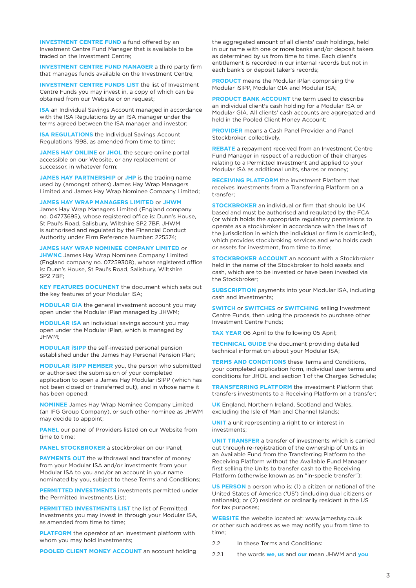**INVESTMENT CENTRE FUND** a fund offered by an Investment Centre Fund Manager that is available to be traded on the Investment Centre;

**INVESTMENT CENTRE FUND MANAGER** a third party firm that manages funds available on the Investment Centre;

**INVESTMENT CENTRE FUNDS LIST** the list of Investment Centre Funds you may invest in, a copy of which can be obtained from our Website or on request;

**ISA** an Individual Savings Account managed in accordance with the ISA Regulations by an ISA manager under the terms agreed between the ISA manager and investor;

**ISA REGULATIONS** the Individual Savings Account Regulations 1998, as amended from time to time;

**JAMES HAY ONLINE** or **JHOL** the secure online portal accessible on our Website, or any replacement or successor, in whatever form;

**JAMES HAY PARTNERSHIP** or **JHP** is the trading name used by (amongst others) James Hay Wrap Managers Limited and James Hay Wrap Nominee Company Limited;

**JAMES HAY WRAP MANAGERS LIMITED** or **JHWM**

James Hay Wrap Managers Limited (England company no. 04773695), whose registered office is: Dunn's House, St Paul's Road, Salisbury, Wiltshire SP2 7BF. JHWM is authorised and regulated by the Financial Conduct Authority under Firm Reference Number: 225574;

#### **JAMES HAY WRAP NOMINEE COMPANY LIMITED** or

**JHWNC** James Hay Wrap Nominee Company Limited (England company no. 07259308), whose registered office is: Dunn's House, St Paul's Road, Salisbury, Wiltshire SP2 7BF;

**KEY FEATURES DOCUMENT** the document which sets out the key features of your Modular ISA;

**MODULAR GIA** the general investment account you may open under the Modular iPlan managed by JHWM;

**MODULAR ISA** an individual savings account you may open under the Modular iPlan, which is managed by JHWM;

**MODULAR iSIPP** the self-invested personal pension established under the James Hay Personal Pension Plan;

**MODULAR iSIPP MEMBER** you, the person who submitted or authorised the submission of your completed application to open a James Hay Modular iSIPP (which has not been closed or transferred out), and in whose name it has been opened;

**NOMINEE** James Hay Wrap Nominee Company Limited (an IFG Group Company), or such other nominee as JHWM may decide to appoint;

**PANEL** our panel of Providers listed on our Website from time to time;

**PANEL STOCKBROKER** a stockbroker on our Panel;

**PAYMENTS OUT** the withdrawal and transfer of money from your Modular ISA and/or investments from your Modular ISA to you and/or an account in your name nominated by you, subject to these Terms and Conditions;

**PERMITTED INVESTMENTS** investments permitted under the Permitted Investments List;

**PERMITTED INVESTMENTS LIST the list of Permitted** Investments you may invest in through your Modular ISA, as amended from time to time;

**PLATFORM** the operator of an investment platform with whom you may hold investments;

**POOLED CLIENT MONEY ACCOUNT** an account holding

the aggregated amount of all clients' cash holdings, held in our name with one or more banks and/or deposit takers as determined by us from time to time. Each client's entitlement is recorded in our internal records but not in each bank's or deposit taker's records;

**PRODUCT** means the Modular iPlan comprising the Modular iSIPP, Modular GIA and Modular ISA;

**PRODUCT BANK ACCOUNT** the term used to describe an individual client's cash holding for a Modular ISA or Modular GIA. All clients' cash accounts are aggregated and held in the Pooled Client Money Account;

**PROVIDER** means a Cash Panel Provider and Panel Stockbroker, collectively.

**REBATE** a repayment received from an Investment Centre Fund Manager in respect of a reduction of their charges relating to a Permitted Investment and applied to your Modular ISA as additional units, shares or money;

**RECEIVING PLATFORM** the investment Platform that receives investments from a Transferring Platform on a transfer;

**STOCKBROKER** an individual or firm that should be UK based and must be authorised and regulated by the FCA (or which holds the appropriate regulatory permissions to operate as a stockbroker in accordance with the laws of the jurisdiction in which the individual or firm is domiciled), which provides stockbroking services and who holds cash or assets for investment, from time to time;

**STOCKBROKER ACCOUNT** an account with a Stockbroker held in the name of the Stockbroker to hold assets and cash, which are to be invested or have been invested via the Stockbroker;

**SUBSCRIPTION** payments into your Modular ISA, including cash and investments;

**SWITCH** or **SWITCHES** or **SWITCHING** selling Investment Centre Funds, then using the proceeds to purchase other Investment Centre Funds;

**TAX YEAR** 06 April to the following 05 April;

**TECHNICAL GUIDE** the document providing detailed technical information about your Modular ISA;

**TERMS AND CONDITIONS** these Terms and Conditions, your completed application form, individual user terms and conditions for JHOL and section 1 of the Charges Schedule;

**TRANSFERRING PLATFORM** the investment Platform that transfers investments to a Receiving Platform on a transfer;

**UK** England, Northern Ireland, Scotland and Wales, excluding the Isle of Man and Channel Islands;

**UNIT** a unit representing a right to or interest in investments;

**UNIT TRANSFER** a transfer of investments which is carried out through re-registration of the ownership of Units in an Available Fund from the Transferring Platform to the Receiving Platform without the Available Fund Manager first selling the Units to transfer cash to the Receiving Platform (otherwise known as an "in-specie transfer");

**US PERSON** a person who is: (1) a citizen or national of the United States of America ('US') (including dual citizens or nationals); or (2) resident or ordinarily resident in the US for tax purposes;

**WEBSITE** the website located at: www.jameshay.co.uk or other such address as we may notify you from time to time;

2.2 In these Terms and Conditions:

2.2.1 the words **we**, **us** and **our** mean JHWM and **you**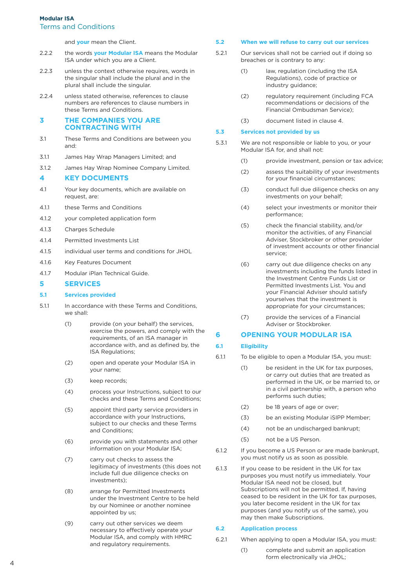# **Modular ISA** Terms and Conditions

and **your** mean the Client.

- 2.2.2 the words **your Modular ISA** means the Modular ISA under which you are a Client.
- 2.2.3 unless the context otherwise requires, words in the singular shall include the plural and in the plural shall include the singular.
- 2.2.4 unless stated otherwise, references to clause numbers are references to clause numbers in these Terms and Conditions.

# **3 THE COMPANIES YOU ARE CONTRACTING WITH**

- 3.1 These Terms and Conditions are between you and:
- 3.1.1 James Hay Wrap Managers Limited; and
- 3.1.2 James Hay Wrap Nominee Company Limited.

# **4 KEY DOCUMENTS**

- 4.1 Your key documents, which are available on request, are:
- 4.1.1 these Terms and Conditions
- 4.1.2 your completed application form
- 4.1.3 Charges Schedule
- 4.1.4 Permitted Investments List
- 4.1.5 individual user terms and conditions for JHOL
- 4.1.6 Key Features Document
- 4.1.7 Modular iPlan Technical Guide.

# **5 SERVICES**

# **5.1 Services provided**

- 5.1.1 In accordance with these Terms and Conditions, we shall:
	- (1) provide (on your behalf) the services, exercise the powers, and comply with the requirements, of an ISA manager in accordance with, and as defined by, the ISA Regulations;
	- (2) open and operate your Modular ISA in your name;
	- (3) keep records;
	- (4) process your Instructions, subject to our checks and these Terms and Conditions;
	- (5) appoint third party service providers in accordance with your Instructions, subject to our checks and these Terms and Conditions;
	- (6) provide you with statements and other information on your Modular ISA;
	- (7) carry out checks to assess the legitimacy of investments (this does not include full due diligence checks on investments);
	- (8) arrange for Permitted Investments under the Investment Centre to be held by our Nominee or another nominee appointed by us;
	- (9) carry out other services we deem necessary to effectively operate your Modular ISA, and comply with HMRC and regulatory requirements.

#### **5.2 When we will refuse to carry out our services**

- 5.2.1 Our services shall not be carried out if doing so breaches or is contrary to any:
	- (1) law, regulation (including the ISA Regulations), code of practice or industry guidance;
	- (2) regulatory requirement (including FCA recommendations or decisions of the Financial Ombudsman Service);
	- (3) document listed in clause 4.

#### **5.3 Services not provided by us**

- 5.3.1 We are not responsible or liable to you, or your Modular ISA for, and shall not:
	- (1) provide investment, pension or tax advice;
	- (2) assess the suitability of your investments for your financial circumstances;
	- (3) conduct full due diligence checks on any investments on your behalf;
	- (4) select your investments or monitor their performance;
	- (5) check the financial stability, and/or monitor the activities, of any Financial Adviser, Stockbroker or other provider of investment accounts or other financial service;
	- (6) carry out due diligence checks on any investments including the funds listed in the Investment Centre Funds List or Permitted Investments List. You and your Financial Adviser should satisfy yourselves that the investment is appropriate for your circumstances;
	- (7) provide the services of a Financial Adviser or Stockbroker.

# **6 OPENING YOUR MODULAR ISA**

# **6.1 Eligibility**

- 6.1.1 To be eligible to open a Modular ISA, you must:
	- (1) be resident in the UK for tax purposes, or carry out duties that are treated as performed in the UK, or be married to, or in a civil partnership with, a person who performs such duties;
	- (2) be 18 years of age or over;
	- (3) be an existing Modular iSIPP Member;
	- (4) not be an undischarged bankrupt;
	- (5) not be a US Person.
- 6.1.2 If you become a US Person or are made bankrupt, you must notify us as soon as possible.
- 6.1.3 If you cease to be resident in the UK for tax purposes you must notify us immediately. Your Modular ISA need not be closed, but Subscriptions will not be permitted. If, having ceased to be resident in the UK for tax purposes, you later become resident in the UK for tax purposes (and you notify us of the same), you may then make Subscriptions.

#### **6.2 Application process**

- 6.2.1 When applying to open a Modular ISA, you must:
	- (1) complete and submit an application form electronically via JHOL;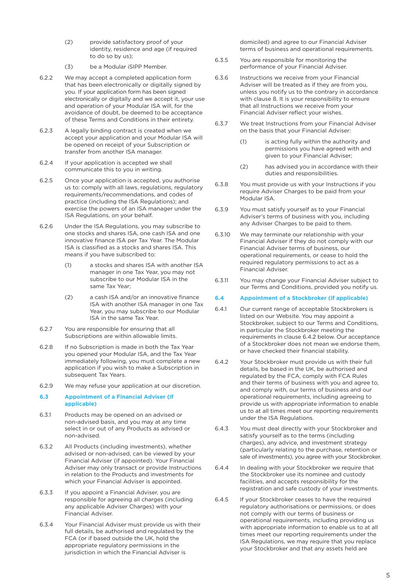- (2) provide satisfactory proof of your identity, residence and age (if required to do so by us);
- (3) be a Modular iSIPP Member.
- 6.2.2 We may accept a completed application form that has been electronically or digitally signed by you. If your application form has been signed electronically or digitally and we accept it, your use and operation of your Modular ISA will, for the avoidance of doubt, be deemed to be acceptance of these Terms and Conditions in their entirety.
- 6.2.3 A legally binding contract is created when we accept your application and your Modular ISA will be opened on receipt of your Subscription or transfer from another ISA manager.
- 6.2.4 If your application is accepted we shall communicate this to you in writing.
- 6.2.5 Once your application is accepted, you authorise us to: comply with all laws, regulations, regulatory requirements/recommendations, and codes of practice (including the ISA Regulations); and exercise the powers of an ISA manager under the ISA Regulations, on your behalf.
- 6.2.6 Under the ISA Regulations, you may subscribe to one stocks and shares ISA, one cash ISA and one innovative finance ISA per Tax Year. The Modular ISA is classified as a stocks and shares ISA. This means if you have subscribed to:
	- (1) a stocks and shares ISA with another ISA manager in one Tax Year, you may not subscribe to our Modular ISA in the same Tax Year;
	- (2) a cash ISA and/or an innovative finance ISA with another ISA manager in one Tax Year, you may subscribe to our Modular ISA in the same Tax Year.
- 6.2.7 You are responsible for ensuring that all Subscriptions are within allowable limits.
- 6.2.8 If no Subscription is made in both the Tax Year you opened your Modular ISA, and the Tax Year immediately following, you must complete a new application if you wish to make a Subscription in subsequent Tax Years.
- 6.2.9 We may refuse your application at our discretion.

#### **6.3 Appointment of a Financial Adviser (if applicable)**

- 6.3.1 Products may be opened on an advised or non-advised basis, and you may at any time select in or out of any Products as advised or non-advised.
- 6.3.2 All Products (including investments), whether advised or non-advised, can be viewed by your Financial Adviser (if appointed). Your Financial Adviser may only transact or provide Instructions in relation to the Products and investments for which your Financial Adviser is appointed.
- 6.3.3 If you appoint a Financial Adviser, you are responsible for agreeing all charges (including any applicable Adviser Charges) with your Financial Adviser.
- 6.3.4 Your Financial Adviser must provide us with their full details, be authorised and regulated by the FCA (or if based outside the UK, hold the appropriate regulatory permissions in the jurisdiction in which the Financial Adviser is

 domiciled) and agree to our Financial Adviser terms of business and operational requirements.

- 6.3.5 You are responsible for monitoring the performance of your Financial Adviser.
- 6.3.6 Instructions we receive from your Financial Adviser will be treated as if they are from you, unless you notify us to the contrary in accordance with clause 8. It is your responsibility to ensure that all Instructions we receive from your Financial Adviser reflect your wishes.
- 6.3.7 We treat Instructions from your Financial Adviser on the basis that your Financial Adviser:
	- (1) is acting fully within the authority and permissions you have agreed with and given to your Financial Adviser;
	- (2) has advised you in accordance with their duties and responsibilities.
- 6.3.8 You must provide us with your Instructions if you require Adviser Charges to be paid from your Modular ISA.
- 6.3.9 You must satisfy yourself as to your Financial Adviser's terms of business with you, including any Adviser Charges to be paid to them.
- 6.3.10 We may terminate our relationship with your Financial Adviser if they do not comply with our Financial Adviser terms of business, our operational requirements, or cease to hold the required regulatory permissions to act as a Financial Adviser.
- 6.3.11 You may change your Financial Adviser subject to our Terms and Conditions, provided you notify us.

# **6.4 Appointment of a Stockbroker (if applicable)**

- 6.4.1 Our current range of acceptable Stockbrokers is listed on our Website. You may appoint a Stockbroker, subject to our Terms and Conditions, in particular the Stockbroker meeting the requirements in clause 6.4.2 below. Our acceptance of a Stockbroker does not mean we endorse them, or have checked their financial stability.
- 6.4.2 Your Stockbroker must provide us with their full details, be based in the UK, be authorised and regulated by the FCA, comply with FCA Rules and their terms of business with you and agree to, and comply with, our terms of business and our operational requirements, including agreeing to provide us with appropriate information to enable us to at all times meet our reporting requirements under the ISA Regulations.
- 6.4.3 You must deal directly with your Stockbroker and satisfy yourself as to the terms (including charges), any advice, and investment strategy (particularly relating to the purchase, retention or sale of investments), you agree with your Stockbroker.
- 6.4.4 In dealing with your Stockbroker we require that the Stockbroker use its nominee and custody facilities, and accepts responsibility for the registration and safe custody of your investments.
- 6.4.5 If your Stockbroker ceases to have the required regulatory authorisations or permissions, or does not comply with our terms of business or operational requirements, including providing us with appropriate information to enable us to at all times meet our reporting requirements under the ISA Regulations, we may require that you replace your Stockbroker and that any assets held are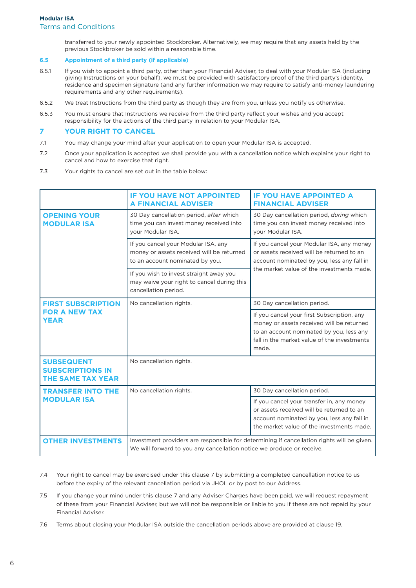transferred to your newly appointed Stockbroker. Alternatively, we may require that any assets held by the previous Stockbroker be sold within a reasonable time.

# **6.5 Appointment of a third party (if applicable)**

- 6.5.1 If you wish to appoint a third party, other than your Financial Adviser, to deal with your Modular ISA (including giving Instructions on your behalf), we must be provided with satisfactory proof of the third party's identity, residence and specimen signature (and any further information we may require to satisfy anti-money laundering requirements and any other requirements).
- 6.5.2 We treat Instructions from the third party as though they are from you, unless you notify us otherwise.
- 6.5.3 You must ensure that Instructions we receive from the third party reflect your wishes and you accept responsibility for the actions of the third party in relation to your Modular ISA.

# **7 YOUR RIGHT TO CANCEL**

- 7.1 You may change your mind after your application to open your Modular ISA is accepted.
- 7.2 Once your application is accepted we shall provide you with a cancellation notice which explains your right to cancel and how to exercise that right.
- 7.3 Your rights to cancel are set out in the table below:

|                                                                          | <b>IF YOU HAVE NOT APPOINTED</b><br><b>A FINANCIAL ADVISER</b>                                                                                                      | <b>IF YOU HAVE APPOINTED A</b><br><b>FINANCIAL ADVISER</b>                                                                                                                                  |
|--------------------------------------------------------------------------|---------------------------------------------------------------------------------------------------------------------------------------------------------------------|---------------------------------------------------------------------------------------------------------------------------------------------------------------------------------------------|
| <b>OPENING YOUR</b><br><b>MODULAR ISA</b>                                | 30 Day cancellation period, after which<br>time you can invest money received into<br>your Modular ISA.                                                             | 30 Day cancellation period, during which<br>time you can invest money received into<br>your Modular ISA.                                                                                    |
|                                                                          | If you cancel your Modular ISA, any<br>money or assets received will be returned<br>to an account nominated by you.                                                 | If you cancel your Modular ISA, any money<br>or assets received will be returned to an<br>account nominated by you, less any fall in<br>the market value of the investments made.           |
|                                                                          | If you wish to invest straight away you<br>may waive your right to cancel during this<br>cancellation period.                                                       |                                                                                                                                                                                             |
| <b>FIRST SUBSCRIPTION</b>                                                | No cancellation rights.                                                                                                                                             | 30 Day cancellation period.                                                                                                                                                                 |
| <b>FOR A NEW TAX</b><br><b>YEAR</b>                                      |                                                                                                                                                                     | If you cancel your first Subscription, any<br>money or assets received will be returned<br>to an account nominated by you, less any<br>fall in the market value of the investments<br>made. |
| <b>SUBSEQUENT</b><br><b>SUBSCRIPTIONS IN</b><br><b>THE SAME TAX YEAR</b> | No cancellation rights.                                                                                                                                             |                                                                                                                                                                                             |
| <b>TRANSFER INTO THE</b>                                                 | No cancellation rights.                                                                                                                                             | 30 Day cancellation period.                                                                                                                                                                 |
| <b>MODULAR ISA</b>                                                       |                                                                                                                                                                     | If you cancel your transfer in, any money<br>or assets received will be returned to an<br>account nominated by you, less any fall in<br>the market value of the investments made.           |
| <b>OTHER INVESTMENTS</b>                                                 | Investment providers are responsible for determining if cancellation rights will be given.<br>We will forward to you any cancellation notice we produce or receive. |                                                                                                                                                                                             |

- 7.4 Your right to cancel may be exercised under this clause 7 by submitting a completed cancellation notice to us before the expiry of the relevant cancellation period via JHOL or by post to our Address.
- 7.5 If you change your mind under this clause 7 and any Adviser Charges have been paid, we will request repayment of these from your Financial Adviser, but we will not be responsible or liable to you if these are not repaid by your Financial Adviser.
- 7.6 Terms about closing your Modular ISA outside the cancellation periods above are provided at clause 19.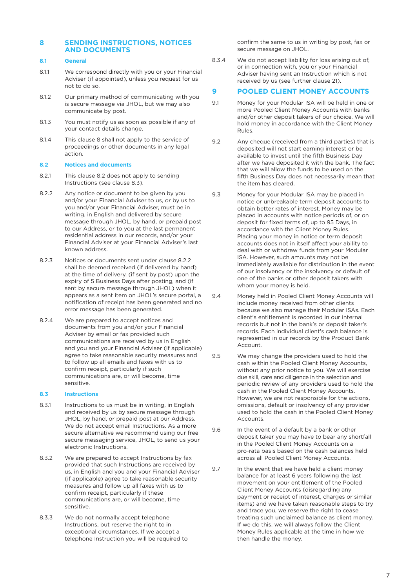# **8 SENDING INSTRUCTIONS, NOTICES AND DOCUMENTS**

# **8.1 General**

- 8.1.1 We correspond directly with you or your Financial Adviser (if appointed), unless you request for us not to do so.
- 8.1.2 Our primary method of communicating with you is secure message via JHOL, but we may also communicate by post.
- 8.1.3 You must notify us as soon as possible if any of your contact details change.
- 8.1.4 This clause 8 shall not apply to the service of proceedings or other documents in any legal action.

#### **8.2 Notices and documents**

- 8.2.1 This clause 8.2 does not apply to sending Instructions (see clause 8.3).
- 8.2.2 Any notice or document to be given by you and/or your Financial Adviser to us, or by us to you and/or your Financial Adviser, must be in writing, in English and delivered by secure message through JHOL, by hand, or prepaid post to our Address, or to you at the last permanent residential address in our records, and/or your Financial Adviser at your Financial Adviser's last known address.
- 8.2.3 Notices or documents sent under clause 8.2.2 shall be deemed received (if delivered by hand) at the time of delivery, (if sent by post) upon the expiry of 5 Business Days after posting, and (if sent by secure message through JHOL) when it appears as a sent item on JHOL's secure portal, a notification of receipt has been generated and no error message has been generated.
- 8.2.4 We are prepared to accept notices and documents from you and/or your Financial Adviser by email or fax provided such communications are received by us in English and you and your Financial Adviser (if applicable) agree to take reasonable security measures and to follow up all emails and faxes with us to confirm receipt, particularly if such communications are, or will become, time sensitive.

#### **8.3 Instructions**

- 8.3.1 Instructions to us must be in writing, in English and received by us by secure message through JHOL, by hand, or prepaid post at our Address. We do not accept email Instructions. As a more secure alternative we recommend using our free secure messaging service, JHOL, to send us your electronic Instructions.
- 8.3.2 We are prepared to accept Instructions by fax provided that such Instructions are received by us, in English and you and your Financial Adviser (if applicable) agree to take reasonable security measures and follow up all faxes with us to confirm receipt, particularly if these communications are, or will become, time sensitive.
- 8.3.3 We do not normally accept telephone Instructions, but reserve the right to in exceptional circumstances. If we accept a telephone Instruction you will be required to

 confirm the same to us in writing by post, fax or secure message on JHOL.

8.3.4 We do not accept liability for loss arising out of, or in connection with, you or your Financial Adviser having sent an Instruction which is not received by us (see further clause 21).

# **9 POOLED CLIENT MONEY ACCOUNTS**

- 9.1 Money for your Modular ISA will be held in one or more Pooled Client Money Accounts with banks and/or other deposit takers of our choice. We will hold money in accordance with the Client Money Rules.
- 9.2 Any cheque (received from a third parties) that is deposited will not start earning interest or be available to invest until the fifth Business Day after we have deposited it with the bank. The fact that we will allow the funds to be used on the fifth Business Day does not necessarily mean that the item has cleared.
- 9.3 Money for your Modular ISA may be placed in notice or unbreakable term deposit accounts to obtain better rates of interest. Money may be placed in accounts with notice periods of, or on deposit for fixed terms of, up to 95 Days, in accordance with the Client Money Rules. Placing your money in notice or term deposit accounts does not in itself affect your ability to deal with or withdraw funds from your Modular ISA. However, such amounts may not be immediately available for distribution in the event of our insolvency or the insolvency or default of one of the banks or other deposit takers with whom your money is held.

9.4 Money held in Pooled Client Money Accounts will include money received from other clients because we also manage their Modular ISAs. Each client's entitlement is recorded in our internal records but not in the bank's or deposit taker's records. Each individual client's cash balance is represented in our records by the Product Bank Account.

- 9.5 We may change the providers used to hold the cash within the Pooled Client Money Accounts, without any prior notice to you. We will exercise due skill, care and diligence in the selection and periodic review of any providers used to hold the cash in the Pooled Client Money Accounts. However, we are not responsible for the actions, omissions, default or insolvency of any provider used to hold the cash in the Pooled Client Money **Accounts**
- 9.6 In the event of a default by a bank or other deposit taker you may have to bear any shortfall in the Pooled Client Money Accounts on a pro-rata basis based on the cash balances held across all Pooled Client Money Accounts.
- 9.7 In the event that we have held a client money balance for at least 6 years following the last movement on your entitlement of the Pooled Client Money Accounts (disregarding any payment or receipt of interest, charges or similar items) and we have taken reasonable steps to try and trace you, we reserve the right to cease treating such unclaimed balance as client money. If we do this, we will always follow the Client Money Rules applicable at the time in how we then handle the money.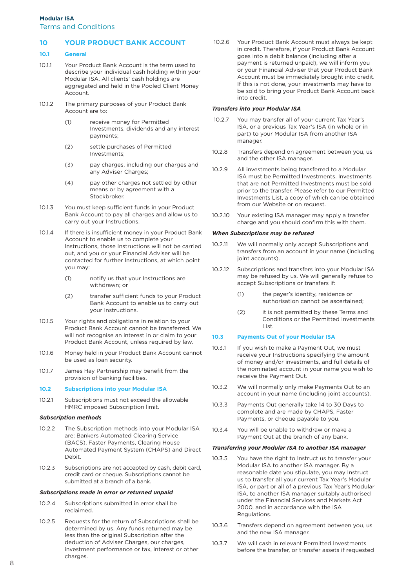Terms and Conditions

# **10 YOUR PRODUCT BANK ACCOUNT**

#### **10.1 General**

- 10.1.1 Your Product Bank Account is the term used to describe your individual cash holding within your Modular ISA. All clients' cash holdings are aggregated and held in the Pooled Client Money Account.
- 10.1.2 The primary purposes of your Product Bank Account are to:
	- (1) receive money for Permitted Investments, dividends and any interest payments;
	- (2) settle purchases of Permitted Investments;
	- (3) pay charges, including our charges and any Adviser Charges;
	- (4) pay other charges not settled by other means or by agreement with a Stockbroker.
- 10.1.3 You must keep sufficient funds in your Product Bank Account to pay all charges and allow us to carry out your Instructions.
- 10.1.4 If there is insufficient money in your Product Bank Account to enable us to complete your Instructions, those Instructions will not be carried out, and you or your Financial Adviser will be contacted for further Instructions, at which point you may:
	- (1) notify us that your Instructions are withdrawn; or
	- (2) transfer sufficient funds to your Product Bank Account to enable us to carry out your Instructions.
- 10.1.5 Your rights and obligations in relation to your Product Bank Account cannot be transferred. We will not recognise an interest in or claim to your Product Bank Account, unless required by law.
- 10.1.6 Money held in your Product Bank Account cannot be used as loan security.
- 10.1.7 James Hay Partnership may benefit from the provision of banking facilities.

#### **10.2 Subscriptions into your Modular ISA**

10.2.1 Subscriptions must not exceed the allowable HMRC imposed Subscription limit.

#### *Subscription methods*

- 10.2.2 The Subscription methods into your Modular ISA are: Bankers Automated Clearing Service (BACS), Faster Payments, Clearing House Automated Payment System (CHAPS) and Direct Debit.
- 10.2.3 Subscriptions are not accepted by cash, debit card, credit card or cheque. Subscriptions cannot be submitted at a branch of a bank.

#### *Subscriptions made in error or returned unpaid*

- 10.2.4 Subscriptions submitted in error shall be reclaimed.
- 10.2.5 Requests for the return of Subscriptions shall be determined by us. Any funds returned may be less than the original Subscription after the deduction of Adviser Charges, our charges, investment performance or tax, interest or other charges.

 10.2.6 Your Product Bank Account must always be kept in credit. Therefore, if your Product Bank Account goes into a debit balance (including after a payment is returned unpaid), we will inform you or your Financial Adviser that your Product Bank Account must be immediately brought into credit. If this is not done, your investments may have to be sold to bring your Product Bank Account back into credit.

#### *Transfers into your Modular ISA*

- 10.2.7 You may transfer all of your current Tax Year's ISA, or a previous Tax Year's ISA (in whole or in part) to your Modular ISA from another ISA manager.
- 10.2.8 Transfers depend on agreement between you, us and the other ISA manager.
- 10.2.9 All investments being transferred to a Modular ISA must be Permitted Investments. Investments that are not Permitted Investments must be sold prior to the transfer. Please refer to our Permitted Investments List, a copy of which can be obtained from our Website or on request.
- 10.2.10 Your existing ISA manager may apply a transfer charge and you should confirm this with them.

#### *When Subscriptions may be refused*

- 10.2.11 We will normally only accept Subscriptions and transfers from an account in your name (including ioint accounts).
- 10.2.12 Subscriptions and transfers into your Modular ISA may be refused by us. We will generally refuse to accept Subscriptions or transfers if:
	- (1) the payer's identity, residence or authorisation cannot be ascertained;
	- (2) it is not permitted by these Terms and Conditions or the Permitted Investments List.

#### **10.3 Payments Out of your Modular ISA**

- 10.3.1 If you wish to make a Payment Out, we must receive your Instructions specifying the amount of money and/or investments, and full details of the nominated account in your name you wish to receive the Payment Out.
- 10.3.2 We will normally only make Payments Out to an account in your name (including joint accounts).
- 10.3.3 Payments Out generally take 14 to 30 Days to complete and are made by CHAPS, Faster Payments, or cheque payable to you.
- 10.3.4 You will be unable to withdraw or make a Payment Out at the branch of any bank.

#### *Transferring your Modular ISA to another ISA manager*

- 10.3.5 You have the right to Instruct us to transfer your Modular ISA to another ISA manager. By a reasonable date you stipulate, you may Instruct us to transfer all your current Tax Year's Modular ISA, or part or all of a previous Tax Year's Modular ISA, to another ISA manager suitably authorised under the Financial Services and Markets Act 2000, and in accordance with the ISA Regulations.
- 10.3.6 Transfers depend on agreement between you, us and the new ISA manager.
- 10.3.7 We will cash in relevant Permitted Investments before the transfer, or transfer assets if requested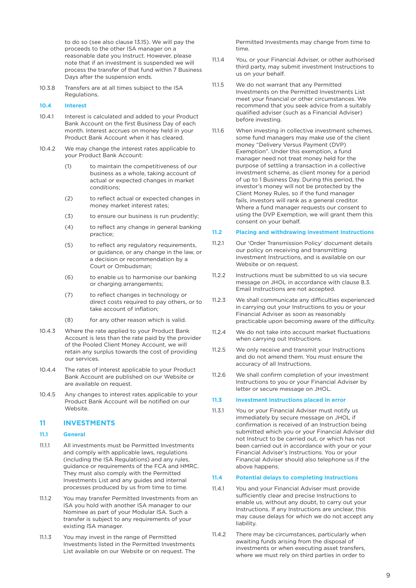to do so (see also clause 13.15). We will pay the proceeds to the other ISA manager on a reasonable date you Instruct. However, please note that if an investment is suspended we will process the transfer of that fund within 7 Business Days after the suspension ends.

10.3.8 Transfers are at all times subject to the ISA **Regulations** 

#### **10.4 Interest**

- 10.4.1 Interest is calculated and added to your Product Bank Account on the first Business Day of each month. Interest accrues on money held in your Product Bank Account when it has cleared.
- 10.4.2 We may change the interest rates applicable to your Product Bank Account:
	- (1) to maintain the competitiveness of our business as a whole, taking account of actual or expected changes in market conditions;
	- (2) to reflect actual or expected changes in money market interest rates;
	- (3) to ensure our business is run prudently;
	- (4) to reflect any change in general banking practice;
	- (5) to reflect any regulatory requirements, or guidance, or any change in the law, or a decision or recommendation by a Court or Ombudsman;
	- (6) to enable us to harmonise our banking or charging arrangements;
	- (7) to reflect changes in technology or direct costs required to pay others, or to take account of inflation;
	- (8) for any other reason which is valid.
- 10.4.3 Where the rate applied to your Product Bank Account is less than the rate paid by the provider of the Pooled Client Money Account, we will retain any surplus towards the cost of providing our services.
- 10.4.4 The rates of interest applicable to your Product Bank Account are published on our Website or are available on request.
- 10.4.5 Any changes to interest rates applicable to your Product Bank Account will be notified on our Website.

#### **11 INVESTMENTS**

#### **11.1 General**

- 11.1.1 All investments must be Permitted Investments and comply with applicable laws, regulations (including the ISA Regulations) and any rules, guidance or requirements of the FCA and HMRC. They must also comply with the Permitted Investments List and any guides and internal processes produced by us from time to time.
- 11.1.2 You may transfer Permitted Investments from an ISA you hold with another ISA manager to our Nominee as part of your Modular ISA. Such a transfer is subject to any requirements of your existing ISA manager.
- 11.1.3 You may invest in the range of Permitted Investments listed in the Permitted Investments List available on our Website or on request. The

 Permitted Investments may change from time to time.

- 11.1.4 You, or your Financial Adviser, or other authorised third party, may submit investment Instructions to us on your behalf.
- 11.1.5 We do not warrant that any Permitted Investments on the Permitted Investments List meet your financial or other circumstances. We recommend that you seek advice from a suitably qualified adviser (such as a Financial Adviser) before investing.
- 11.1.6 When investing in collective investment schemes, some fund managers may make use of the client money "Delivery Versus Payment (DVP) Exemption". Under this exemption, a fund manager need not treat money held for the purpose of settling a transaction in a collective investment scheme, as client money for a period of up to 1 Business Day. During this period, the investor's money will not be protected by the Client Money Rules, so if the fund manager fails, investors will rank as a general creditor. Where a fund manager requests our consent to using the DVP Exemption, we will grant them this consent on your behalf.

#### **11.2 Placing and withdrawing investment Instructions**

- 11.2.1 Our 'Order Transmission Policy' document details our policy on receiving and transmitting investment Instructions, and is available on our Website or on request.
- 11.2.2 Instructions must be submitted to us via secure message on JHOL in accordance with clause 8.3. Email Instructions are not accepted.
- 11.2.3 We shall communicate any difficulties experienced in carrying out your Instructions to you or your Financial Adviser as soon as reasonably practicable upon becoming aware of the difficulty.
- 11.2.4 We do not take into account market fluctuations when carrying out Instructions.
- 11.2.5 We only receive and transmit your Instructions and do not amend them. You must ensure the accuracy of all Instructions.
- 11.2.6 We shall confirm completion of your investment Instructions to you or your Financial Adviser by letter or secure message on JHOL.

#### **11.3 Investment Instructions placed in error**

11.3.1 You or your Financial Adviser must notify us immediately by secure message on JHOL if confirmation is received of an Instruction being submitted which you or your Financial Adviser did not Instruct to be carried out, or which has not been carried out in accordance with your or your Financial Adviser's Instructions. You or your Financial Adviser should also telephone us if the above happens.

#### **11.4 Potential delays to completing Instructions**

- 11.4.1 You and your Financial Adviser must provide sufficiently clear and precise Instructions to enable us, without any doubt, to carry out your Instructions. If any Instructions are unclear, this may cause delays for which we do not accept any liability.
- 11.4.2 There may be circumstances, particularly when awaiting funds arising from the disposal of investments or when executing asset transfers, where we must rely on third parties in order to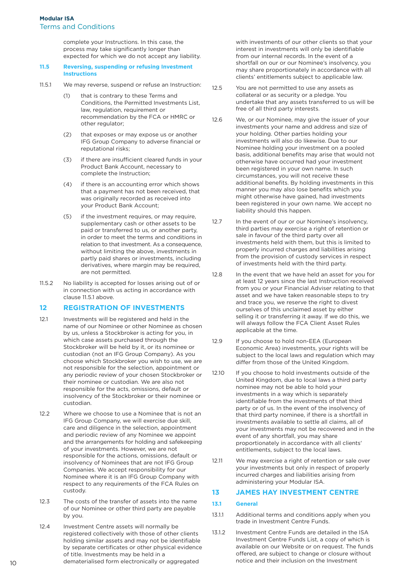complete your Instructions. In this case, the process may take significantly longer than expected for which we do not accept any liability.

#### **11.5 Reversing, suspending or refusing Investment Instructions**

- 11.5.1 We may reverse, suspend or refuse an Instruction:
	- (1) that is contrary to these Terms and Conditions, the Permitted Investments List, law, regulation, requirement or recommendation by the FCA or HMRC or other regulator;
	- (2) that exposes or may expose us or another IFG Group Company to adverse financial or reputational risks;
	- (3) if there are insufficient cleared funds in your Product Bank Account, necessary to complete the Instruction;
	- (4) if there is an accounting error which shows that a payment has not been received, that was originally recorded as received into your Product Bank Account;
	- (5) if the investment requires, or may require, supplementary cash or other assets to be paid or transferred to us, or another party, in order to meet the terms and conditions in relation to that investment. As a consequence, without limiting the above, investments in partly paid shares or investments, including derivatives, where margin may be required, are not permitted.
- 11.5.2 No liability is accepted for losses arising out of or in connection with us acting in accordance with clause 11.5.1 above.

#### **12 REGISTRATION OF INVESTMENTS**

- 12.1 Investments will be registered and held in the name of our Nominee or other Nominee as chosen by us, unless a Stockbroker is acting for you, in which case assets purchased through the Stockbroker will be held by it, or its nominee or custodian (not an IFG Group Company). As you choose which Stockbroker you wish to use, we are not responsible for the selection, appointment or any periodic review of your chosen Stockbroker or their nominee or custodian. We are also not responsible for the acts, omissions, default or insolvency of the Stockbroker or their nominee or custodian.
- 12.2 Where we choose to use a Nominee that is not an IFG Group Company, we will exercise due skill, care and diligence in the selection, appointment and periodic review of any Nominee we appoint and the arrangements for holding and safekeeping of your investments. However, we are not responsible for the actions, omissions, default or insolvency of Nominees that are not IFG Group Companies. We accept responsibility for our Nominee where it is an IFG Group Company with respect to any requirements of the FCA Rules on custody.
- 12.3 The costs of the transfer of assets into the name of our Nominee or other third party are payable by you.
- 12.4 Investment Centre assets will normally be registered collectively with those of other clients holding similar assets and may not be identifiable by separate certificates or other physical evidence of title. Investments may be held in a dematerialised form electronically or aggregated

 with investments of our other clients so that your interest in investments will only be identifiable from our internal records. In the event of a shortfall on our or our Nominee's insolvency, you may share proportionately in accordance with all clients' entitlements subject to applicable law.

- 12.5 You are not permitted to use any assets as collateral or as security or a pledge. You undertake that any assets transferred to us will be free of all third party interests.
- 12.6 We, or our Nominee, may give the issuer of your investments your name and address and size of your holding. Other parties holding your investments will also do likewise. Due to our Nominee holding your investment on a pooled basis, additional benefits may arise that would not otherwise have occurred had your investment been registered in your own name. In such circumstances, you will not receive these additional benefits. By holding investments in this manner you may also lose benefits which you might otherwise have gained, had investments been registered in your own name. We accept no liability should this happen.
- 12.7 In the event of our or our Nominee's insolvency, third parties may exercise a right of retention or sale in favour of the third party over all investments held with them, but this is limited to properly incurred charges and liabilities arising from the provision of custody services in respect of investments held with the third party.
- 12.8 In the event that we have held an asset for you for at least 12 years since the last Instruction received from you or your Financial Adviser relating to that asset and we have taken reasonable steps to try and trace you, we reserve the right to divest ourselves of this unclaimed asset by either selling it or transferring it away. If we do this, we will always follow the FCA Client Asset Rules applicable at the time.
- 12.9 If you choose to hold non-EEA (European Economic Area) investments, your rights will be subject to the local laws and regulation which may differ from those of the United Kingdom.
- 12.10 If you choose to hold investments outside of the United Kingdom, due to local laws a third party nominee may not be able to hold your investments in a way which is separately identifiable from the investments of that third party or of us. In the event of the insolvency of that third party nominee, if there is a shortfall in investments available to settle all claims, all of your investments may not be recovered and in the event of any shortfall, you may share proportionately in accordance with all clients' entitlements, subject to the local laws.
- 12.11 We may exercise a right of retention or sale over your investments but only in respect of properly incurred charges and liabilities arising from administering your Modular ISA.

#### **13 JAMES HAY INVESTMENT CENTRE**

#### **13.1 General**

- 13.1.1 Additional terms and conditions apply when you trade in Investment Centre Funds.
- 13.1.2 Investment Centre Funds are detailed in the ISA Investment Centre Funds List, a copy of which is available on our Website or on request. The funds offered, are subject to change or closure without notice and their inclusion on the Investment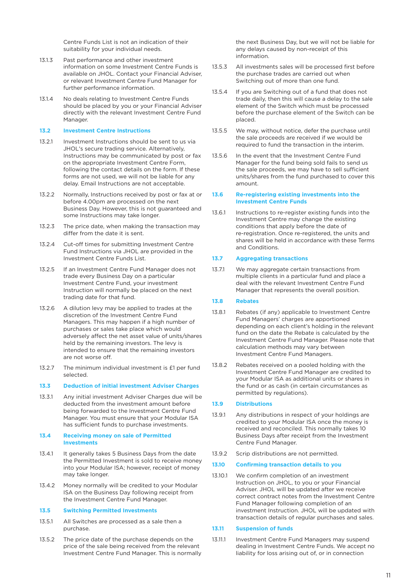Centre Funds List is not an indication of their suitability for your individual needs.

- 13.1.3 Past performance and other investment information on some Investment Centre Funds is available on JHOL. Contact your Financial Adviser, or relevant Investment Centre Fund Manager for further performance information.
- 13.1.4 No deals relating to Investment Centre Funds should be placed by you or your Financial Adviser directly with the relevant Investment Centre Fund Manager.

#### **13.2 Investment Centre Instructions**

- 13.2.1 Investment Instructions should be sent to us via JHOL's secure trading service. Alternatively, Instructions may be communicated by post or fax on the appropriate Investment Centre Form, following the contact details on the form. If these forms are not used, we will not be liable for any delay. Email Instructions are not acceptable.
- 13.2.2 Normally, Instructions received by post or fax at or before 4.00pm are processed on the next Business Day. However, this is not guaranteed and some Instructions may take longer.
- 13.2.3 The price date, when making the transaction may differ from the date it is sent.
- 13.2.4 Cut-off times for submitting Investment Centre Fund Instructions via JHOL are provided in the Investment Centre Funds List.
- 13.2.5 If an Investment Centre Fund Manager does not trade every Business Day on a particular Investment Centre Fund, your investment Instruction will normally be placed on the next trading date for that fund.
- 13.2.6 A dilution levy may be applied to trades at the discretion of the Investment Centre Fund Managers. This may happen if a high number of purchases or sales take place which would adversely affect the net asset value of units/shares held by the remaining investors. The levy is intended to ensure that the remaining investors are not worse off.
- 13.2.7 The minimum individual investment is £1 per fund selected.

#### **13.3 Deduction of initial investment Adviser Charges**

13.3.1 Any initial investment Adviser Charges due will be deducted from the investment amount before being forwarded to the Investment Centre Fund Manager. You must ensure that your Modular ISA has sufficient funds to purchase investments.

#### **13.4 Receiving money on sale of Permitted Investments**

- 13.4.1 It generally takes 5 Business Days from the date the Permitted Investment is sold to receive money into your Modular ISA; however, receipt of money may take longer.
- 13.4.2 Money normally will be credited to your Modular ISA on the Business Day following receipt from the Investment Centre Fund Manager.

#### **13.5 Switching Permitted Investments**

- 13.5.1 All Switches are processed as a sale then a purchase.
- 13.5.2 The price date of the purchase depends on the price of the sale being received from the relevant Investment Centre Fund Manager. This is normally

 the next Business Day, but we will not be liable for any delays caused by non-receipt of this information.

- 13.5.3 All investments sales will be processed first before the purchase trades are carried out when Switching out of more than one fund.
- 13.5.4 If you are Switching out of a fund that does not trade daily, then this will cause a delay to the sale element of the Switch which must be processed before the purchase element of the Switch can be placed.
- 13.5.5 We may, without notice, defer the purchase until the sale proceeds are received if we would be required to fund the transaction in the interim.
- 13.5.6 In the event that the Investment Centre Fund Manager for the fund being sold fails to send us the sale proceeds, we may have to sell sufficient units/shares from the fund purchased to cover this amount.

#### **13.6 Re-registering existing investments into the Investment Centre Funds**

13.6.1 Instructions to re-register existing funds into the Investment Centre may change the existing conditions that apply before the date of re-registration. Once re-registered, the units and shares will be held in accordance with these Terms and Conditions.

# **13.7 Aggregating transactions**

13.7.1 We may aggregate certain transactions from multiple clients in a particular fund and place a deal with the relevant Investment Centre Fund Manager that represents the overall position.

#### **13.8 Rebates**

- 13.8.1 Rebates (if any) applicable to Investment Centre Fund Managers' charges are apportioned depending on each client's holding in the relevant fund on the date the Rebate is calculated by the Investment Centre Fund Manager. Please note that calculation methods may vary between Investment Centre Fund Managers.
- 13.8.2 Rebates received on a pooled holding with the Investment Centre Fund Manager are credited to your Modular ISA as additional units or shares in the fund or as cash (in certain circumstances as permitted by regulations).

#### **13.9 Distributions**

- 13.9.1 Any distributions in respect of your holdings are credited to your Modular ISA once the money is received and reconciled. This normally takes 10 Business Days after receipt from the Investment Centre Fund Manager.
- 13.9.2 Scrip distributions are not permitted.

#### **13.10 Confirming transaction details to you**

13.10.1 We confirm completion of an investment Instruction on JHOL, to you or your Financial Adviser. JHOL will be updated after we receive correct contract notes from the Investment Centre Fund Manager following completion of an investment Instruction. JHOL will be updated with transaction details of regular purchases and sales.

#### **13.11 Suspension of funds**

13.11.1 Investment Centre Fund Managers may suspend dealing in Investment Centre Funds. We accept no liability for loss arising out of, or in connection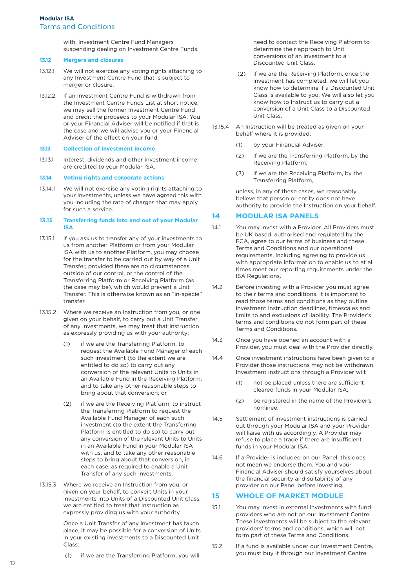# **Modular ISA** Terms and Conditions

 with, Investment Centre Fund Managers suspending dealing on Investment Centre Funds.

#### **13.12 Mergers and closures**

- 13.12.1 We will not exercise any voting rights attaching to any Investment Centre Fund that is subject to merger or closure.
- 13.12.2 If an Investment Centre Fund is withdrawn from the Investment Centre Funds List at short notice, we may sell the former Investment Centre Fund and credit the proceeds to your Modular ISA. You or your Financial Adviser will be notified if that is the case and we will advise you or your Financial Adviser of the effect on your fund.

#### **13.13 Collection of investment income**

13.13.1 Interest, dividends and other investment income are credited to your Modular ISA.

#### **13.14 Voting rights and corporate actions**

13.14.1 We will not exercise any voting rights attaching to your investments, unless we have agreed this with you including the rate of charges that may apply for such a service.

#### **13.15 Transferring funds into and out of your Modular ISA**

- 13.15.1 If you ask us to transfer any of your investments to us from another Platform or from your Modular ISA with us to another Platform, you may choose for the transfer to be carried out by way of a Unit Transfer, provided there are no circumstances outside of our control, or the control of the Transferring Platform or Receiving Platform (as the case may be), which would prevent a Unit Transfer. This is otherwise known as an "in-specie" transfer.
- 13.15.2 Where we receive an Instruction from you, or one given on your behalf, to carry out a Unit Transfer of any investments, we may treat that Instruction as expressly providing us with your authority:
	- (1) if we are the Transferring Platform, to request the Available Fund Manager of each such investment (to the extent we are entitled to do so) to carry out any conversion of the relevant Units to Units in an Available Fund in the Receiving Platform, and to take any other reasonable steps to bring about that conversion; or
	- (2) if we are the Receiving Platform, to instruct the Transferring Platform to request the Available Fund Manager of each such investment (to the extent the Transferring Platform is entitled to do so) to carry out any conversion of the relevant Units to Units in an Available Fund in your Modular ISA with us, and to take any other reasonable steps to bring about that conversion, in each case, as required to enable a Unit Transfer of any such investments.
- 13.15.3 Where we receive an Instruction from you, or given on your behalf, to convert Units in your investments into Units of a Discounted Unit Class, we are entitled to treat that Instruction as expressly providing us with your authority.

 Once a Unit Transfer of any investment has taken place, it may be possible for a conversion of Units in your existing investments to a Discounted Unit Class:

(1) if we are the Transferring Platform, you will

 need to contact the Receiving Platform to determine their approach to Unit conversions of an investment to a Discounted Unit Class.

- (2) if we are the Receiving Platform, once the investment has completed, we will let you know how to determine if a Discounted Unit Class is available to you. We will also let you know how to Instruct us to carry out a conversion of a Unit Class to a Discounted Unit Class.
- 13.15.4 An Instruction will be treated as given on your behalf where it is provided:
	- (1) by your Financial Adviser;
	- (2) if we are the Transferring Platform, by the Receiving Platform;
	- (3) if we are the Receiving Platform, by the Transferring Platform,

 unless, in any of these cases, we reasonably believe that person or entity does not have authority to provide the Instruction on your behalf.

#### **14 MODULAR ISA PANELS**

- 14.1 You may invest with a Provider. All Providers must be UK based, authorised and regulated by the FCA, agree to our terms of business and these Terms and Conditions and our operational requirements, including agreeing to provide us with appropriate information to enable us to at all times meet our reporting requirements under the ISA Regulations.
- 14.2 Before investing with a Provider you must agree to their terms and conditions. It is important to read those terms and conditions as they outline investment instruction deadlines, timescales and limits to and exclusions of liability. The Provider's terms and conditions do not form part of these Terms and Conditions.
- 14.3 Once you have opened an account with a Provider, you must deal with the Provider directly.
- 14.4 Once investment instructions have been given to a Provider those instructions may not be withdrawn. Investment instructions through a Provider will:
	- (1) not be placed unless there are sufficient cleared funds in your Modular ISA;
	- (2) be registered in the name of the Provider's nominee.
- 14.5 Settlement of investment instructions is carried out through your Modular ISA and your Provider will liaise with us accordingly. A Provider may refuse to place a trade if there are insufficient funds in your Modular ISA.
- 14.6 If a Provider is included on our Panel, this does not mean we endorse them. You and your Financial Adviser should satisfy yourselves about the financial security and suitability of any provider on our Panel before investing.

#### **15 WHOLE OF MARKET MODULE**

- 15.1 You may invest in external investments with fund providers who are not on our Investment Centre. These investments will be subject to the relevant providers' terms and conditions, which will not form part of these Terms and Conditions.
- 15.2 If a fund is available under our Investment Centre, you must buy it through our Investment Centre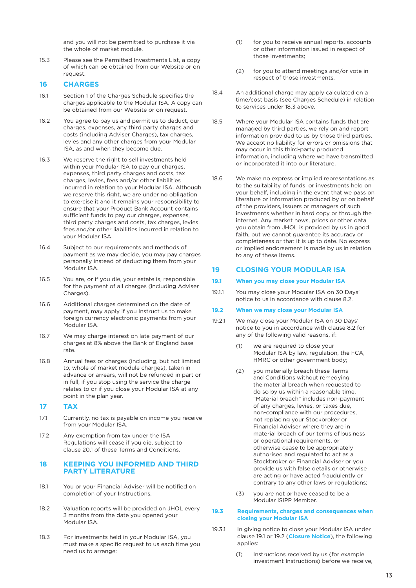and you will not be permitted to purchase it via the whole of market module.

15.3 Please see the Permitted Investments List, a copy of which can be obtained from our Website or on request.

# **16 CHARGES**

- 16.1 Section 1 of the Charges Schedule specifies the charges applicable to the Modular ISA. A copy can be obtained from our Website or on request.
- 16.2 You agree to pay us and permit us to deduct, our charges, expenses, any third party charges and costs (including Adviser Charges), tax charges, levies and any other charges from your Modular ISA, as and when they become due.
- 16.3 We reserve the right to sell investments held within your Modular ISA to pay our charges, expenses, third party charges and costs, tax charges, levies, fees and/or other liabilities incurred in relation to your Modular ISA. Although we reserve this right, we are under no obligation to exercise it and it remains your responsibility to ensure that your Product Bank Account contains sufficient funds to pay our charges, expenses, third party charges and costs, tax charges, levies, fees and/or other liabilities incurred in relation to your Modular ISA.
- 16.4 Subject to our requirements and methods of payment as we may decide, you may pay charges personally instead of deducting them from your Modular ISA.
- 16.5 You are, or if you die, your estate is, responsible for the payment of all charges (including Adviser Charges).
- 16.6 Additional charges determined on the date of payment, may apply if you Instruct us to make foreign currency electronic payments from your Modular ISA.
- 16.7 We may charge interest on late payment of our charges at 8% above the Bank of England base rate.
- 16.8 Annual fees or charges (including, but not limited to, whole of market module charges), taken in advance or arrears, will not be refunded in part or in full, if you stop using the service the charge relates to or if you close your Modular ISA at any point in the plan year.

#### **17 TAX**

- 17.1 Currently, no tax is payable on income you receive from your Modular ISA.
- 17.2 Any exemption from tax under the ISA Regulations will cease if you die, subject to clause 20.1 of these Terms and Conditions.

# **18 KEEPING YOU INFORMED AND THIRD PARTY LITERATURE**

- 18.1 You or your Financial Adviser will be notified on completion of your Instructions.
- 18.2 Valuation reports will be provided on JHOL every 3 months from the date you opened your Modular ISA.
- 18.3 For investments held in your Modular ISA, you must make a specific request to us each time you need us to arrange:
- (1) for you to receive annual reports, accounts or other information issued in respect of those investments;
- (2) for you to attend meetings and/or vote in respect of those investments.
- 18.4 An additional charge may apply calculated on a time/cost basis (see Charges Schedule) in relation to services under 18.3 above.
- 18.5 Where your Modular ISA contains funds that are managed by third parties, we rely on and report information provided to us by those third parties. We accept no liability for errors or omissions that may occur in this third-party produced information, including where we have transmitted or incorporated it into our literature.
- 18.6 We make no express or implied representations as to the suitability of funds, or investments held on your behalf, including in the event that we pass on literature or information produced by or on behalf of the providers, issuers or managers of such investments whether in hard copy or through the internet. Any market news, prices or other data you obtain from JHOL is provided by us in good faith, but we cannot guarantee its accuracy or completeness or that it is up to date. No express or implied endorsement is made by us in relation to any of these items.

#### **19 CLOSING YOUR MODULAR ISA**

#### **19.1 When you may close your Modular ISA**

19.1.1 You may close your Modular ISA on 30 Days' notice to us in accordance with clause 8.2.

#### **19.2 When we may close your Modular ISA**

- 19.2.1 We may close your Modular ISA on 30 Days' notice to you in accordance with clause 8.2 for any of the following valid reasons, if:
	- (1) we are required to close your Modular ISA by law, regulation, the FCA, HMRC or other government body;
	- (2) you materially breach these Terms and Conditions without remedying the material breach when requested to do so by us within a reasonable time. "Material breach" includes non-payment of any charges, levies, or taxes due, non-compliance with our procedures, not replacing your Stockbroker or Financial Adviser where they are in material breach of our terms of business or operational requirements, or otherwise cease to be appropriately authorised and regulated to act as a Stockbroker or Financial Adviser or you provide us with false details or otherwise are acting or have acted fraudulently or contrary to any other laws or regulations;
	- (3) you are not or have ceased to be a Modular iSIPP Member.

#### **19.3 Requirements, charges and consequences when closing your Modular ISA**

- 19.3.1 In giving notice to close your Modular ISA under clause 19.1 or 19.2 (**Closure Notice**), the following applies:
	- (1) Instructions received by us (for example investment Instructions) before we receive,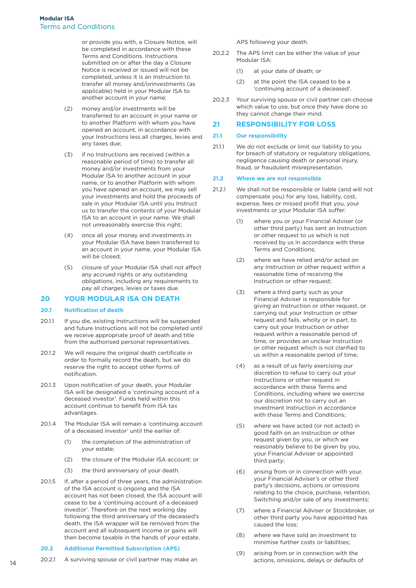or provide you with, a Closure Notice, will be completed in accordance with these Terms and Conditions. Instructions submitted on or after the day a Closure Notice is received or issued will not be completed, unless it is an Instruction to transfer all money and/orinvestments (as applicable) held in your Modular ISA to another account in your name;

- (2) money and/or investments will be transferred to an account in your name or to another Platform with whom you have opened an account, in accordance with your Instructions less all charges, levies and any taxes due;
- (3) if no Instructions are received (within a reasonable period of time) to transfer all money and/or investments from your Modular ISA to another account in your name, or to another Platform with whom you have opened an account, we may sell your investments and hold the proceeds of sale in your Modular ISA until you Instruct us to transfer the contents of your Modular ISA to an account in your name. We shall not unreasonably exercise this right;
- (4) once all your money and investments in your Modular ISA have been transferred to an account in your name, your Modular ISA will be closed;
- (5) closure of your Modular ISA shall not affect any accrued rights or any outstanding obligations, including any requirements to pay all charges, levies or taxes due.

# **20 YOUR MODULAR ISA ON DEATH**

#### **20.1 Notification of death**

- 20.1.1 If you die, existing Instructions will be suspended and future Instructions will not be completed until we receive appropriate proof of death and title from the authorised personal representatives.
- 20.1.2 We will require the original death certificate in order to formally record the death, but we do reserve the right to accept other forms of notification.
- 20.1.3 Upon notification of your death, your Modular ISA will be designated a 'continuing account of a deceased investor'. Funds held within this account continue to benefit from ISA tax advantages.
- 20.1.4 The Modular ISA will remain a 'continuing account of a deceased investor' until the earlier of:
	- (1) the completion of the administration of your estate;
	- (2) the closure of the Modular ISA account; or
	- (3) the third anniversary of your death.
- 20.1.5 If, after a period of three years, the administration of the ISA account is ongoing and the ISA account has not been closed, the ISA account will cease to be a 'continuing account of a deceased investor'. Therefore on the next working day following the third anniversary of the deceased's death, the ISA wrapper will be removed from the account and all subsequent income or gains will then become taxable in the hands of your estate.

#### **20.2 Additional Permitted Subscription (APS)**

20.2.1 A surviving spouse or civil partner may make an

APS following your death.

- 20.2.2 The APS limit can be either the value of your Modular ISA:
	- (1) at your date of death; or
	- (2) at the point the ISA ceased to be a 'continuing account of a deceased'.
- 20.2.3 Your surviving spouse or civil partner can choose which value to use, but once they have done so they cannot change their mind.

#### **21 RESPONSIBILITY FOR LOSS**

#### **21.1 Our responsibility**

21.1.1 We do not exclude or limit our liability to you for breach of statutory or regulatory obligations, negligence causing death or personal injury, fraud, or fraudulent misrepresentation.

#### **21.2 Where we are not responsible**

- 21.2.1 We shall not be responsible or liable (and will not compensate you) for any loss, liability, cost, expense, fees or missed profit that you, your investments or your Modular ISA suffer:
	- (1) where you or your Financial Adviser (or other third party) has sent an Instruction or other request to us which is not received by us in accordance with these Terms and Conditions;
	- (2) where we have relied and/or acted on any Instruction or other request within a reasonable time of receiving the Instruction or other request;
	- (3) where a third party such as your Financial Adviser is responsible for giving an Instruction or other request, or carrying out your Instruction or other request and fails, wholly or in part, to carry out your Instruction or other request within a reasonable period of time, or provides an unclear Instruction or other request which is not clarified to us within a reasonable period of time;
	- (4) as a result of us fairly exercising our discretion to refuse to carry out your Instructions or other request in accordance with these Terms and Conditions, including where we exercise our discretion not to carry out an investment Instruction in accordance with these Terms and Conditions;
	- (5) where we have acted (or not acted) in good faith on an Instruction or other request given by you, or which we reasonably believe to be given by you, your Financial Adviser or appointed third party;
	- (6) arising from or in connection with your, your Financial Adviser's or other third party's decisions, actions or omissions relating to the choice, purchase, retention, Switching and/or sale of any investments;
	- (7) where a Financial Adviser or Stockbroker, or other third party you have appointed has caused the loss;
	- (8) where we have sold an investment to minimise further costs or liabilities;
	- (9) arising from or in connection with the actions, omissions, delays or defaults of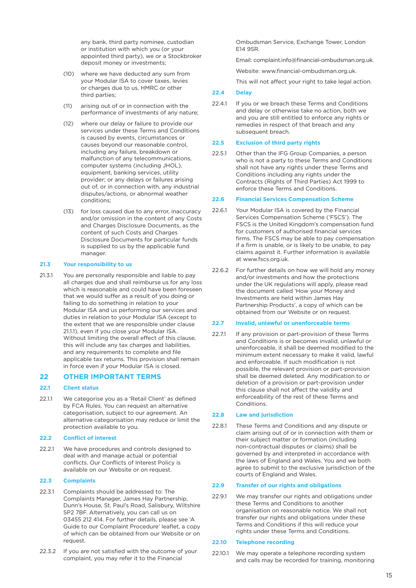any bank, third party nominee, custodian or institution with which you (or your appointed third party), we or a Stockbroker deposit money or investments;

- (10) where we have deducted any sum from your Modular ISA to cover taxes, levies or charges due to us, HMRC or other third parties;
- (11) arising out of or in connection with the performance of investments of any nature;
- (12) where our delay or failure to provide our services under these Terms and Conditions is caused by events, circumstances or causes beyond our reasonable control, including any failure, breakdown or malfunction of any telecommunications, computer systems (including JHOL), equipment, banking services, utility provider; or any delays or failures arising out of, or in connection with, any industrial disputes/actions, or abnormal weather conditions;
- (13) for loss caused due to any error, inaccuracy and/or omission in the content of any Costs and Charges Disclosure Documents, as the content of such Costs and Charges Disclosure Documents for particular funds is supplied to us by the applicable fund manager.

#### **21.3 Your responsibility to us**

21.3.1 You are personally responsible and liable to pay all charges due and shall reimburse us for any loss which is reasonable and could have been foreseen that we would suffer as a result of you doing or failing to do something in relation to your Modular ISA and us performing our services and duties in relation to your Modular ISA (except to the extent that we are responsible under clause 21.1.1), even if you close your Modular ISA. Without limiting the overall effect of this clause, this will include any tax charges and liabilities, and any requirements to complete and file applicable tax returns. This provision shall remain in force even if your Modular ISA is closed.

#### **22 OTHER IMPORTANT TERMS**

#### **22.1 Client status**

22.1.1 We categorise you as a 'Retail Client' as defined by FCA Rules. You can request an alternative categorisation, subject to our agreement. An alternative categorisation may reduce or limit the protection available to you.

#### **22.2 Conflict of interest**

22.2.1 We have procedures and controls designed to deal with and manage actual or potential conflicts. Our Conflicts of Interest Policy is available on our Website or on request.

# **22.3 Complaints**

- 22.3.1 Complaints should be addressed to: The Complaints Manager, James Hay Partnership, Dunn's House, St. Paul's Road, Salisbury, Wiltshire SP2 7BF. Alternatively, you can call us on 03455 212 414. For further details, please see 'A Guide to our Complaint Procedure' leaflet, a copy of which can be obtained from our Website or on request.
- 22.3.2 If you are not satisfied with the outcome of your complaint, you may refer it to the Financial

 Ombudsman Service, Exchange Tower, London E14 9SR.

Email: complaint.info@financial-ombudsman.org.uk.

Website: www.financial-ombudsman.org.uk.

This will not affect your right to take legal action.

#### **22.4 Delay**

22.4.1 If you or we breach these Terms and Conditions and delay or otherwise take no action, both we and you are still entitled to enforce any rights or remedies in respect of that breach and any subsequent breach.

#### **22.5 Exclusion of third party rights**

22.5.1 Other than the IFG Group Companies, a person who is not a party to these Terms and Conditions shall not have any rights under these Terms and Conditions including any rights under the Contracts (Rights of Third Parties) Act 1999 to enforce these Terms and Conditions.

#### **22.6 Financial Services Compensation Scheme**

- 22.6.1 Your Modular ISA is covered by the Financial Services Compensation Scheme ('FSCS'). The FSCS is the United Kingdom's compensation fund for customers of authorised financial services firms. The FSCS may be able to pay compensation if a firm is unable, or is likely to be unable, to pay claims against it. Further information is available at www.fscs.org.uk.
- 22.6.2 For further details on how we will hold any money and/or investments and how the protections under the UK regulations will apply, please read the document called 'How your Money and Investments are held within James Hay Partnership Products', a copy of which can be obtained from our Website or on request.

#### **22.7 Invalid, unlawful or unenforceable terms**

22.7.1 If any provision or part-provision of these Terms and Conditions is or becomes invalid, unlawful or unenforceable, it shall be deemed modified to the minimum extent necessary to make it valid, lawful and enforceable. If such modification is not possible, the relevant provision or part-provision shall be deemed deleted. Any modification to or deletion of a provision or part-provision under this clause shall not affect the validity and enforceability of the rest of these Terms and Conditions.

#### **22.8 Law and jurisdiction**

22.8.1 These Terms and Conditions and any dispute or claim arising out of or in connection with them or their subject matter or formation (including non-contractual disputes or claims) shall be governed by and interpreted in accordance with the laws of England and Wales. You and we both agree to submit to the exclusive jurisdiction of the courts of England and Wales.

#### **22.9 Transfer of our rights and obligations**

22.9.1 We may transfer our rights and obligations under these Terms and Conditions to another organisation on reasonable notice. We shall not transfer our rights and obligations under these Terms and Conditions if this will reduce your rights under these Terms and Conditions.

#### **22.10 Telephone recording**

22.10.1 We may operate a telephone recording system and calls may be recorded for training, monitoring